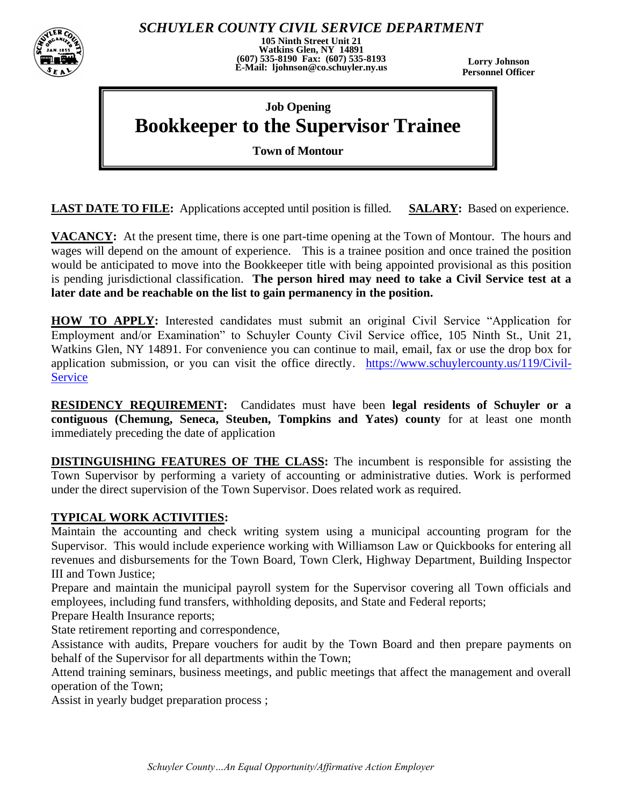

*SCHUYLER COUNTY CIVIL SERVICE DEPARTMENT*

**105 Ninth Street Unit 21 Watkins Glen, NY 14891 (607) 535-8190 Fax: (607) 535-8193 E-Mail: ljohnson@co.schuyler.ny.us**

**Lorry Johnson Personnel Officer**

# **Job Opening Bookkeeper to the Supervisor Trainee**

**Town of Montour**

**LAST DATE TO FILE:** Applications accepted until position is filled. **SALARY:** Based on experience.

**VACANCY:** At the present time, there is one part-time opening at the Town of Montour. The hours and wages will depend on the amount of experience. This is a trainee position and once trained the position would be anticipated to move into the Bookkeeper title with being appointed provisional as this position is pending jurisdictional classification. **The person hired may need to take a Civil Service test at a later date and be reachable on the list to gain permanency in the position.**

**HOW TO APPLY:** Interested candidates must submit an original Civil Service "Application for Employment and/or Examination" to Schuyler County Civil Service office, 105 Ninth St., Unit 21, Watkins Glen, NY 14891. For convenience you can continue to mail, email, fax or use the drop box for application submission, or you can visit the office directly. [https://www.schuylercounty.us/119/Civil-](https://www.schuylercounty.us/119/Civil-Service)**[Service](https://www.schuylercounty.us/119/Civil-Service)** 

**RESIDENCY REQUIREMENT:** Candidates must have been **legal residents of Schuyler or a contiguous (Chemung, Seneca, Steuben, Tompkins and Yates) county** for at least one month immediately preceding the date of application

**DISTINGUISHING FEATURES OF THE CLASS:** The incumbent is responsible for assisting the Town Supervisor by performing a variety of accounting or administrative duties. Work is performed under the direct supervision of the Town Supervisor. Does related work as required.

## **TYPICAL WORK ACTIVITIES:**

Maintain the accounting and check writing system using a municipal accounting program for the Supervisor. This would include experience working with Williamson Law or Quickbooks for entering all revenues and disbursements for the Town Board, Town Clerk, Highway Department, Building Inspector III and Town Justice;

Prepare and maintain the municipal payroll system for the Supervisor covering all Town officials and employees, including fund transfers, withholding deposits, and State and Federal reports;

Prepare Health Insurance reports;

State retirement reporting and correspondence,

Assistance with audits, Prepare vouchers for audit by the Town Board and then prepare payments on behalf of the Supervisor for all departments within the Town;

Attend training seminars, business meetings, and public meetings that affect the management and overall operation of the Town;

Assist in yearly budget preparation process ;